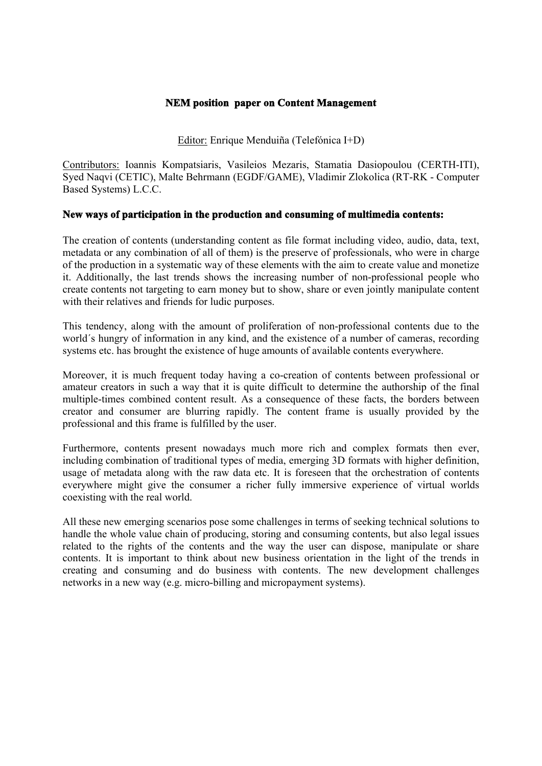## **NEM position paper on Content Management**

Editor: Enrique Menduiña (Telefónica I+D)

Contributors: Ioannis Kompatsiaris, Vasileios Mezaris, Stamatia Dasiopoulou (CERTH-ITI), Syed Naqvi (CETIC), Malte Behrmann (EGDF/GAME), Vladimir Zlokolica (RT-RK - Computer Based Systems) L.C.C.

## **New ways of participation in the production and consuming of multimedia contents:**

The creation of contents (understanding content as file format including video, audio, data, text, metadata or any combination of all of them) is the preserve of professionals, who were in charge of the production in a systematic way of these elements with the aim to create value and monetize it. Additionally, the last trends shows the increasing number of non-professional people who create contents not targeting to earn money but to show, share or even jointly manipulate content with their relatives and friends for ludic purposes.

This tendency, along with the amount of proliferation of non-professional contents due to the world´s hungry of information in any kind, and the existence of a number of cameras, recording systems etc. has brought the existence of huge amounts of available contents everywhere.

Moreover, it is much frequent today having a co-creation of contents between professional or amateur creators in such a way that it is quite difficult to determine the authorship of the final multiple-times combined content result. As a consequence of these facts, the borders between creator and consumer are blurring rapidly. The content frame is usually provided by the professional and this frame is fulfilled by the user.

Furthermore, contents present nowadays much more rich and complex formats then ever, including combination of traditional types of media, emerging 3D formats with higher definition, usage of metadata along with the raw data etc. It is foreseen that the orchestration of contents everywhere might give the consumer a richer fully immersive experience of virtual worlds coexisting with the real world.

All these new emerging scenarios pose some challenges in terms of seeking technical solutions to handle the whole value chain of producing, storing and consuming contents, but also legal issues related to the rights of the contents and the way the user can dispose, manipulate or share contents. It is important to think about new business orientation in the light of the trends in creating and consuming and do business with contents. The new development challenges networks in a new way (e.g. micro-billing and micropayment systems).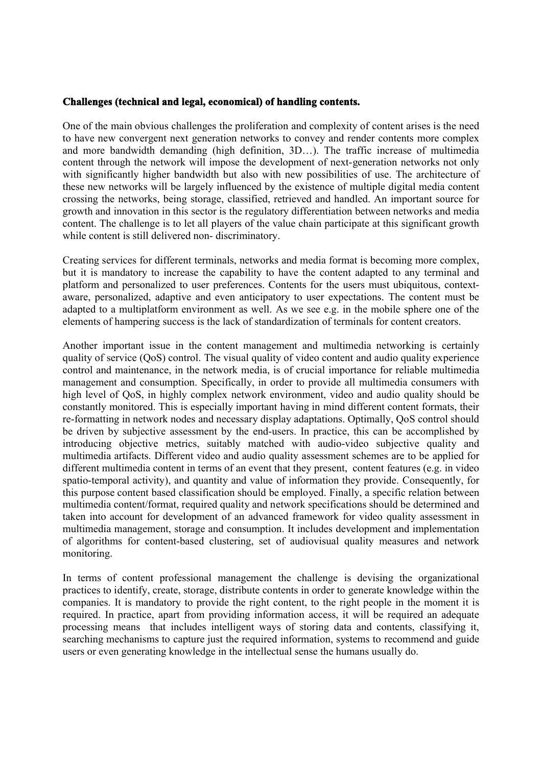## **Challenges (technical and legal, economical) of handling contents.**

One of the main obvious challenges the proliferation and complexity of content arises is the need to have new convergent next generation networks to convey and render contents more complex and more bandwidth demanding (high definition, 3D…). The traffic increase of multimedia content through the network will impose the development of next-generation networks not only with significantly higher bandwidth but also with new possibilities of use. The architecture of these new networks will be largely influenced by the existence of multiple digital media content crossing the networks, being storage, classified, retrieved and handled. An important source for growth and innovation in this sector is the regulatory differentiation between networks and media content. The challenge is to let all players of the value chain participate at this significant growth while content is still delivered non- discriminatory.

Creating services for different terminals, networks and media format is becoming more complex, but it is mandatory to increase the capability to have the content adapted to any terminal and platform and personalized to user preferences. Contents for the users must ubiquitous, contextaware, personalized, adaptive and even anticipatory to user expectations. The content must be adapted to a multiplatform environment as well. As we see e.g. in the mobile sphere one of the elements of hampering success is the lack of standardization of terminals for content creators.

Another important issue in the content management and multimedia networking is certainly quality of service (QoS) control. The visual quality of video content and audio quality experience control and maintenance, in the network media, is of crucial importance for reliable multimedia management and consumption. Specifically, in order to provide all multimedia consumers with high level of QoS, in highly complex network environment, video and audio quality should be constantly monitored. This is especially important having in mind different content formats, their re-formatting in network nodes and necessary display adaptations. Optimally, QoS control should be driven by subjective assessment by the end-users. In practice, this can be accomplished by introducing objective metrics, suitably matched with audio-video subjective quality and multimedia artifacts. Different video and audio quality assessment schemes are to be applied for different multimedia content in terms of an event that they present, content features (e.g. in video spatio-temporal activity), and quantity and value of information they provide. Consequently, for this purpose content based classification should be employed. Finally, a specific relation between multimedia content/format, required quality and network specifications should be determined and taken into account for development of an advanced framework for video quality assessment in multimedia management, storage and consumption. It includes development and implementation of algorithms for content-based clustering, set of audiovisual quality measures and network monitoring.

In terms of content professional management the challenge is devising the organizational practices to identify, create, storage, distribute contents in order to generate knowledge within the companies. It is mandatory to provide the right content, to the right people in the moment it is required. In practice, apart from providing information access, it will be required an adequate processing means that includes intelligent ways of storing data and contents, classifying it, searching mechanisms to capture just the required information, systems to recommend and guide users or even generating knowledge in the intellectual sense the humans usually do.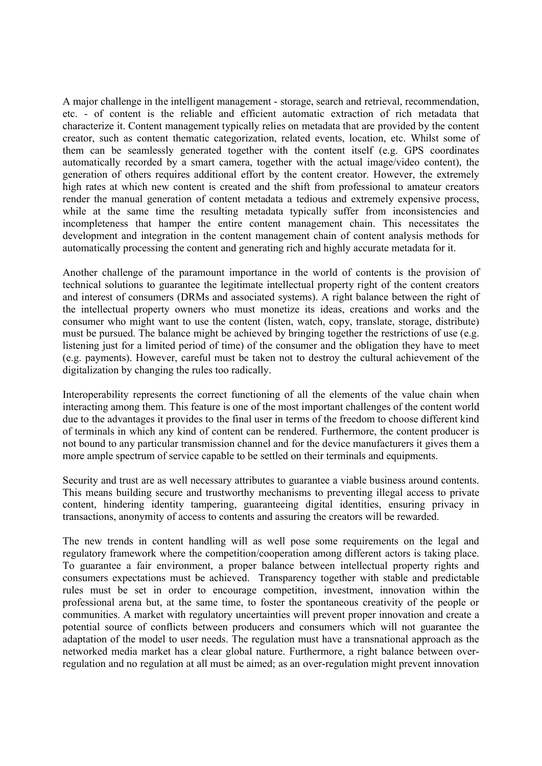A major challenge in the intelligent management - storage, search and retrieval, recommendation, etc. - of content is the reliable and efficient automatic extraction of rich metadata that characterize it. Content management typically relies on metadata that are provided by the content creator, such as content thematic categorization, related events, location, etc. Whilst some of them can be seamlessly generated together with the content itself (e.g. GPS coordinates automatically recorded by a smart camera, together with the actual image/video content), the generation of others requires additional effort by the content creator. However, the extremely high rates at which new content is created and the shift from professional to amateur creators render the manual generation of content metadata a tedious and extremely expensive process, while at the same time the resulting metadata typically suffer from inconsistencies and incompleteness that hamper the entire content management chain. This necessitates the development and integration in the content management chain of content analysis methods for automatically processing the content and generating rich and highly accurate metadata for it.

Another challenge of the paramount importance in the world of contents is the provision of technical solutions to guarantee the legitimate intellectual property right of the content creators and interest of consumers (DRMs and associated systems). A right balance between the right of the intellectual property owners who must monetize its ideas, creations and works and the consumer who might want to use the content (listen, watch, copy, translate, storage, distribute) must be pursued. The balance might be achieved by bringing together the restrictions of use (e.g. listening just for a limited period of time) of the consumer and the obligation they have to meet (e.g. payments). However, careful must be taken not to destroy the cultural achievement of the digitalization by changing the rules too radically.

Interoperability represents the correct functioning of all the elements of the value chain when interacting among them. This feature is one of the most important challenges of the content world due to the advantages it provides to the final user in terms of the freedom to choose different kind of terminals in which any kind of content can be rendered. Furthermore, the content producer is not bound to any particular transmission channel and for the device manufacturers it gives them a more ample spectrum of service capable to be settled on their terminals and equipments.

Security and trust are as well necessary attributes to guarantee a viable business around contents. This means building secure and trustworthy mechanisms to preventing illegal access to private content, hindering identity tampering, guaranteeing digital identities, ensuring privacy in transactions, anonymity of access to contents and assuring the creators will be rewarded.

The new trends in content handling will as well pose some requirements on the legal and regulatory framework where the competition/cooperation among different actors is taking place. To guarantee a fair environment, a proper balance between intellectual property rights and consumers expectations must be achieved. Transparency together with stable and predictable rules must be set in order to encourage competition, investment, innovation within the professional arena but, at the same time, to foster the spontaneous creativity of the people or communities. A market with regulatory uncertainties will prevent proper innovation and create a potential source of conflicts between producers and consumers which will not guarantee the adaptation of the model to user needs. The regulation must have a transnational approach as the networked media market has a clear global nature. Furthermore, a right balance between overregulation and no regulation at all must be aimed; as an over-regulation might prevent innovation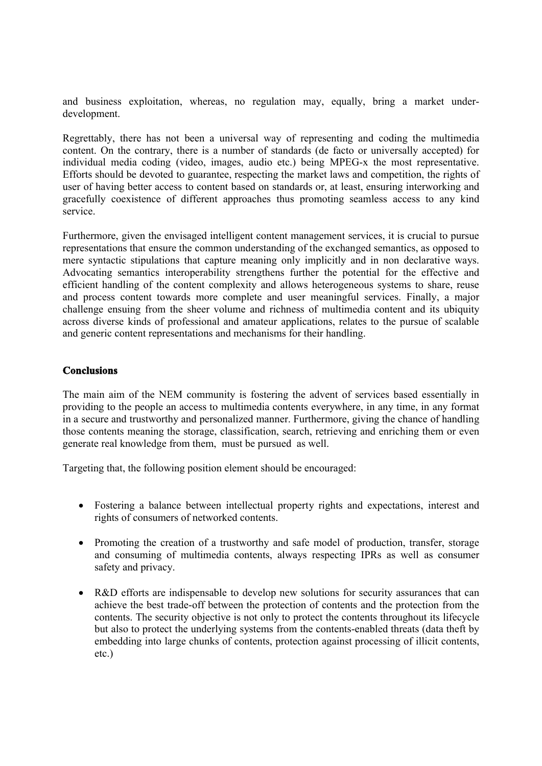and business exploitation, whereas, no regulation may, equally, bring a market underdevelopment.

Regrettably, there has not been a universal way of representing and coding the multimedia content. On the contrary, there is a number of standards (de facto or universally accepted) for individual media coding (video, images, audio etc.) being MPEG-x the most representative. Efforts should be devoted to guarantee, respecting the market laws and competition, the rights of user of having better access to content based on standards or, at least, ensuring interworking and gracefully coexistence of different approaches thus promoting seamless access to any kind service.

Furthermore, given the envisaged intelligent content management services, it is crucial to pursue representations that ensure the common understanding of the exchanged semantics, as opposed to mere syntactic stipulations that capture meaning only implicitly and in non declarative ways. Advocating semantics interoperability strengthens further the potential for the effective and efficient handling of the content complexity and allows heterogeneous systems to share, reuse and process content towards more complete and user meaningful services. Finally, a major challenge ensuing from the sheer volume and richness of multimedia content and its ubiquity across diverse kinds of professional and amateur applications, relates to the pursue of scalable and generic content representations and mechanisms for their handling.

## **Conclusions**

The main aim of the NEM community is fostering the advent of services based essentially in providing to the people an access to multimedia contents everywhere, in any time, in any format in a secure and trustworthy and personalized manner. Furthermore, giving the chance of handling those contents meaning the storage, classification, search, retrieving and enriching them or even generate real knowledge from them, must be pursued as well.

Targeting that, the following position element should be encouraged:

- Fostering a balance between intellectual property rights and expectations, interest and rights of consumers of networked contents.
- Promoting the creation of a trustworthy and safe model of production, transfer, storage and consuming of multimedia contents, always respecting IPRs as well as consumer safety and privacy.
- R&D efforts are indispensable to develop new solutions for security assurances that can achieve the best trade-off between the protection of contents and the protection from the contents. The security objective is not only to protect the contents throughout its lifecycle but also to protect the underlying systems from the contents-enabled threats (data theft by embedding into large chunks of contents, protection against processing of illicit contents, etc.)